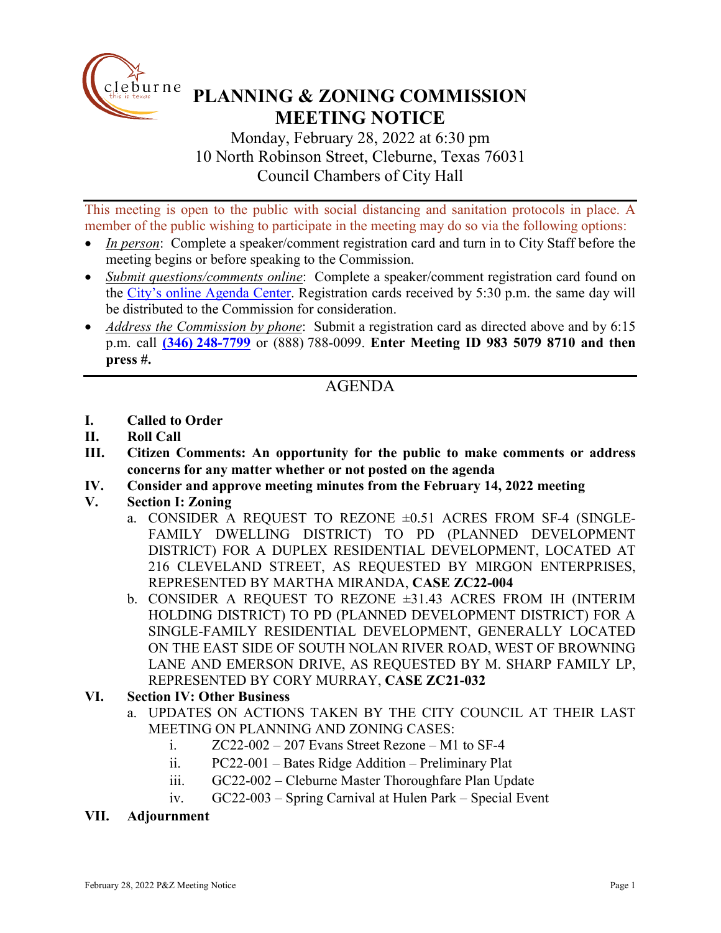

# **PLANNING & ZONING COMMISSION MEETING NOTICE**

Monday, February 28, 2022 at 6:30 pm 10 North Robinson Street, Cleburne, Texas 76031 Council Chambers of City Hall

This meeting is open to the public with social distancing and sanitation protocols in place. A member of the public wishing to participate in the meeting may do so via the following options:

- *In person*: Complete a speaker/comment registration card and turn in to City Staff before the meeting begins or before speaking to the Commission.
- *Submit questions/comments online*: Complete a speaker/comment registration card found on the [City's online Agenda Center.](https://www.cleburne.net/agendacenter) Registration cards received by 5:30 p.m. the same day will be distributed to the Commission for consideration.
- *Address the Commission by phone*: Submit a registration card as directed above and by 6:15 p.m. call **(346) [248-7799](tel:+13127573117,,477307821)** or (888) 788-0099. **Enter Meeting ID 983 5079 8710 and then press #.**

## AGENDA

- **I. Called to Order**
- **II. Roll Call**
- **III. Citizen Comments: An opportunity for the public to make comments or address concerns for any matter whether or not posted on the agenda**
- **IV. Consider and approve meeting minutes from the February 14, 2022 meeting**
- **V. Section I: Zoning**
	- a. CONSIDER A REQUEST TO REZONE ±0.51 ACRES FROM SF-4 (SINGLE-FAMILY DWELLING DISTRICT) TO PD (PLANNED DEVELOPMENT DISTRICT) FOR A DUPLEX RESIDENTIAL DEVELOPMENT, LOCATED AT 216 CLEVELAND STREET, AS REQUESTED BY MIRGON ENTERPRISES, REPRESENTED BY MARTHA MIRANDA, **CASE ZC22-004**
	- b. CONSIDER A REQUEST TO REZONE ±31.43 ACRES FROM IH (INTERIM HOLDING DISTRICT) TO PD (PLANNED DEVELOPMENT DISTRICT) FOR A SINGLE-FAMILY RESIDENTIAL DEVELOPMENT, GENERALLY LOCATED ON THE EAST SIDE OF SOUTH NOLAN RIVER ROAD, WEST OF BROWNING LANE AND EMERSON DRIVE, AS REQUESTED BY M. SHARP FAMILY LP, REPRESENTED BY CORY MURRAY, **CASE ZC21-032**

#### **VI. Section IV: Other Business**

- a. UPDATES ON ACTIONS TAKEN BY THE CITY COUNCIL AT THEIR LAST MEETING ON PLANNING AND ZONING CASES:
	- i.  $ZC22-002-207$  Evans Street Rezone M1 to SF-4
	- ii. PC22-001 Bates Ridge Addition Preliminary Plat
	- iii. GC22-002 Cleburne Master Thoroughfare Plan Update
	- iv. GC22-003 Spring Carnival at Hulen Park Special Event

#### **VII. Adjournment**